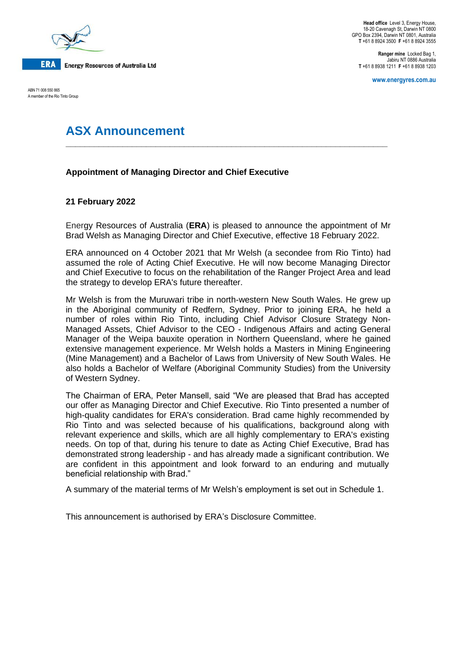

ABN 71 008 550 865 A member of the Rio Tinto Group

**Head office** Level 3, Energy House, 18-20 Cavenagh St, Darwin NT 0800 GPO Box 2394, Darwin NT 0801, Australia **T** +61 8 8924 3500 **F** +61 8 8924 3555

**Ranger mine** Locked Bag 1, Jabiru NT 0886 Australia **T** +61 8 8938 1211 **F** +61 8 8938 1203

**www.energyres.com.au**

# **ASX Announcement**

# **Appointment of Managing Director and Chief Executive**

## **21 February 2022**

Energy Resources of Australia (**ERA**) is pleased to announce the appointment of Mr Brad Welsh as Managing Director and Chief Executive, effective 18 February 2022.

**\_\_\_\_\_\_\_\_\_\_\_\_\_\_\_\_\_\_\_\_\_\_\_\_\_\_\_\_\_\_\_\_\_\_\_\_\_\_\_\_\_\_\_\_\_\_\_\_\_\_\_\_\_\_\_\_\_\_\_\_\_\_\_\_\_\_\_\_**

ERA announced on 4 October 2021 that Mr Welsh (a secondee from Rio Tinto) had assumed the role of Acting Chief Executive. He will now become Managing Director and Chief Executive to focus on the rehabilitation of the Ranger Project Area and lead the strategy to develop ERA's future thereafter.

Mr Welsh is from the Muruwari tribe in north-western New South Wales. He grew up in the Aboriginal community of Redfern, Sydney. Prior to joining ERA, he held a number of roles within Rio Tinto, including Chief Advisor Closure Strategy Non-Managed Assets, Chief Advisor to the CEO - Indigenous Affairs and acting General Manager of the Weipa bauxite operation in Northern Queensland, where he gained extensive management experience. Mr Welsh holds a Masters in Mining Engineering (Mine Management) and a Bachelor of Laws from University of New South Wales. He also holds a Bachelor of Welfare (Aboriginal Community Studies) from the University of Western Sydney.

The Chairman of ERA, Peter Mansell, said "We are pleased that Brad has accepted our offer as Managing Director and Chief Executive. Rio Tinto presented a number of high-quality candidates for ERA's consideration. Brad came highly recommended by Rio Tinto and was selected because of his qualifications, background along with relevant experience and skills, which are all highly complementary to ERA's existing needs. On top of that, during his tenure to date as Acting Chief Executive, Brad has demonstrated strong leadership - and has already made a significant contribution. We are confident in this appointment and look forward to an enduring and mutually beneficial relationship with Brad."

A summary of the material terms of Mr Welsh's employment is set out in Schedule 1.

This announcement is authorised by ERA's Disclosure Committee.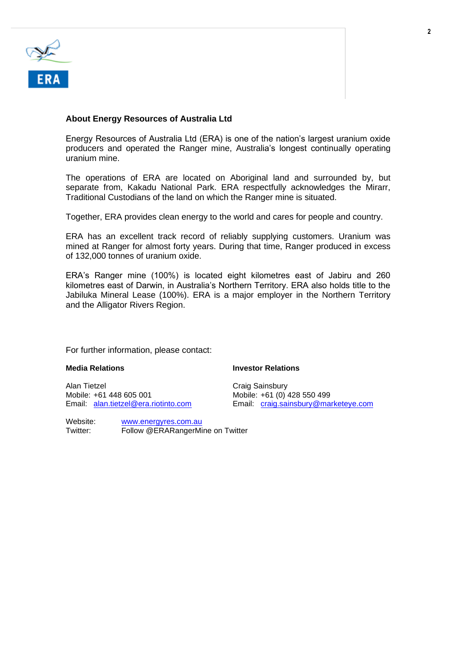

### **About Energy Resources of Australia Ltd**

Energy Resources of Australia Ltd (ERA) is one of the nation's largest uranium oxide producers and operated the Ranger mine, Australia's longest continually operating uranium mine.

The operations of ERA are located on Aboriginal land and surrounded by, but separate from, Kakadu National Park. ERA respectfully acknowledges the Mirarr, Traditional Custodians of the land on which the Ranger mine is situated.

Together, ERA provides clean energy to the world and cares for people and country.

ERA has an excellent track record of reliably supplying customers. Uranium was mined at Ranger for almost forty years. During that time, Ranger produced in excess of 132,000 tonnes of uranium oxide.

ERA's Ranger mine (100%) is located eight kilometres east of Jabiru and 260 kilometres east of Darwin, in Australia's Northern Territory. ERA also holds title to the Jabiluka Mineral Lease (100%). ERA is a major employer in the Northern Territory and the Alligator Rivers Region.

For further information, please contact:

Alan Tietzel (Alan Tietzel Craig Sainsbury Craig Sainsbury Craig Sainsbury Craig Sainsbury (Alan Craig Sainsbury<br>Alan Tietzel (Alan Craig Sainsbury Craig Sainsbury Craig Sainsbury (Alan Craig Sainsbury Craig Sainsbury Crai Mobile: +61 448 605 001 Mobile: +61 (0) 428 550 499<br>Email: alan.tietzel@era.riotinto.com Email: craig.sainsbury@ma

Website: [www.energyres.com.au](http://www.energyres.com.au/)<br>Twitter: Follow @FRARangerMi Follow @ERARangerMine on Twitter

#### **Media Relations Investor Relations**

Email: [craig.sainsbury@marketeye.com](mailto:craig.sainsbury@marketeye.com)